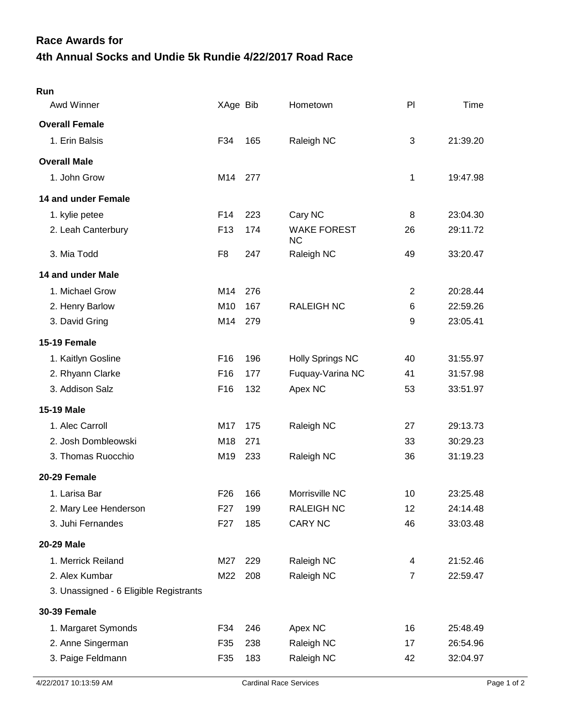## **4th Annual Socks and Undie 5k Rundie 4/22/2017 Road Race Race Awards for**

| Run                                    |                 |     |                                 |                |          |
|----------------------------------------|-----------------|-----|---------------------------------|----------------|----------|
| Awd Winner                             | XAge Bib        |     | Hometown                        | P <sub>1</sub> | Time     |
| <b>Overall Female</b>                  |                 |     |                                 |                |          |
| 1. Erin Balsis                         | F34             | 165 | Raleigh NC                      | 3              | 21:39.20 |
| <b>Overall Male</b>                    |                 |     |                                 |                |          |
| 1. John Grow                           | M14             | 277 |                                 | 1              | 19:47.98 |
| 14 and under Female                    |                 |     |                                 |                |          |
| 1. kylie petee                         | F14             | 223 | Cary NC                         | 8              | 23:04.30 |
| 2. Leah Canterbury                     | F <sub>13</sub> | 174 | <b>WAKE FOREST</b><br><b>NC</b> | 26             | 29:11.72 |
| 3. Mia Todd                            | F <sub>8</sub>  | 247 | Raleigh NC                      | 49             | 33:20.47 |
| 14 and under Male                      |                 |     |                                 |                |          |
| 1. Michael Grow                        | M14             | 276 |                                 | $\overline{2}$ | 20:28.44 |
| 2. Henry Barlow                        | M <sub>10</sub> | 167 | <b>RALEIGH NC</b>               | 6              | 22:59.26 |
| 3. David Gring                         | M14             | 279 |                                 | 9              | 23:05.41 |
| 15-19 Female                           |                 |     |                                 |                |          |
| 1. Kaitlyn Gosline                     | F16             | 196 | <b>Holly Springs NC</b>         | 40             | 31:55.97 |
| 2. Rhyann Clarke                       | F16             | 177 | Fuquay-Varina NC                | 41             | 31:57.98 |
| 3. Addison Salz                        | F <sub>16</sub> | 132 | Apex NC                         | 53             | 33:51.97 |
| <b>15-19 Male</b>                      |                 |     |                                 |                |          |
| 1. Alec Carroll                        | M17             | 175 | Raleigh NC                      | 27             | 29:13.73 |
| 2. Josh Dombleowski                    | M18             | 271 |                                 | 33             | 30:29.23 |
| 3. Thomas Ruocchio                     | M19             | 233 | Raleigh NC                      | 36             | 31:19.23 |
| 20-29 Female                           |                 |     |                                 |                |          |
| 1. Larisa Bar                          | F <sub>26</sub> | 166 | Morrisville NC                  | 10             | 23:25.48 |
| 2. Mary Lee Henderson                  | F <sub>27</sub> | 199 | <b>RALEIGH NC</b>               | 12             | 24:14.48 |
| 3. Juhi Fernandes                      | F <sub>27</sub> | 185 | <b>CARY NC</b>                  | 46             | 33:03.48 |
| 20-29 Male                             |                 |     |                                 |                |          |
| 1. Merrick Reiland                     | M27             | 229 | Raleigh NC                      | 4              | 21:52.46 |
| 2. Alex Kumbar                         | M22             | 208 | Raleigh NC                      | $\overline{7}$ | 22:59.47 |
| 3. Unassigned - 6 Eligible Registrants |                 |     |                                 |                |          |
| <b>30-39 Female</b>                    |                 |     |                                 |                |          |
| 1. Margaret Symonds                    | F34             | 246 | Apex NC                         | 16             | 25:48.49 |
| 2. Anne Singerman                      | F35             | 238 | Raleigh NC                      | 17             | 26:54.96 |
| 3. Paige Feldmann                      | F35             | 183 | Raleigh NC                      | 42             | 32:04.97 |
|                                        |                 |     |                                 |                |          |